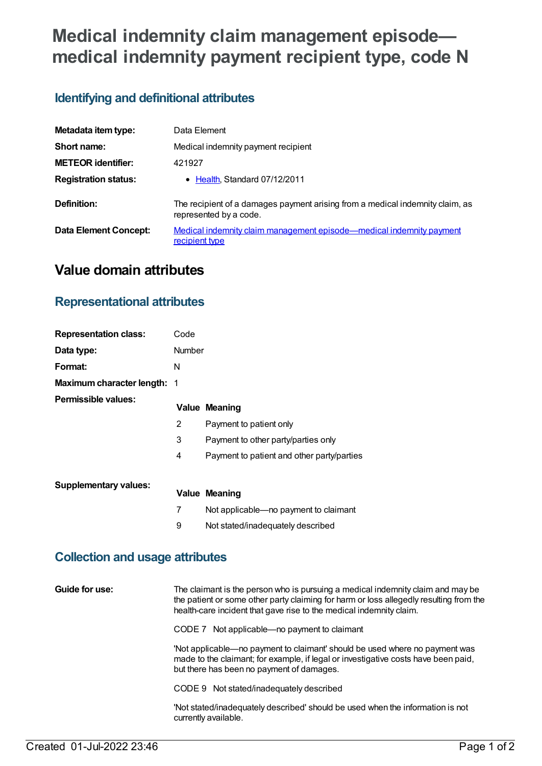# **Medical indemnity claim management episode medical indemnity payment recipient type, code N**

## **Identifying and definitional attributes**

| Metadata item type:         | Data Element                                                                                            |
|-----------------------------|---------------------------------------------------------------------------------------------------------|
| Short name:                 | Medical indemnity payment recipient                                                                     |
| <b>METEOR identifier:</b>   | 421927                                                                                                  |
| <b>Registration status:</b> | • Health, Standard 07/12/2011                                                                           |
| Definition:                 | The recipient of a damages payment arising from a medical indemnity claim, as<br>represented by a code. |
| Data Element Concept:       | Medical indemnity claim management episode—medical indemnity payment<br>recipient type                  |

# **Value domain attributes**

### **Representational attributes**

| <b>Representation class:</b> | Code          |                                            |
|------------------------------|---------------|--------------------------------------------|
| Data type:                   | <b>Number</b> |                                            |
| Format:                      | N             |                                            |
| Maximum character length: 1  |               |                                            |
| Permissible values:          |               | <b>Value Meaning</b>                       |
|                              | 2             | Payment to patient only                    |
|                              | 3             | Payment to other party/parties only        |
|                              | 4             | Payment to patient and other party/parties |
| <b>Supplementary values:</b> |               |                                            |
|                              |               | <b>Value Meaning</b>                       |
|                              | 7             | Not applicable-no payment to claimant      |
|                              | 9             | Not stated/inadequately described          |

#### **Collection and usage attributes**

**Guide for use:** The claimant is the person who is pursuing a medical indemnity claim and may be the patient or some other party claiming for harm or loss allegedly resulting from the health-care incident that gave rise to the medical indemnity claim. CODE 7 Not applicable—no payment to claimant 'Not applicable—no payment to claimant' should be used where no payment was made to the claimant; for example, if legal or investigative costs have been paid, but there has been no payment of damages.

CODE 9 Not stated/inadequately described

'Not stated/inadequately described' should be used when the information is not currently available.